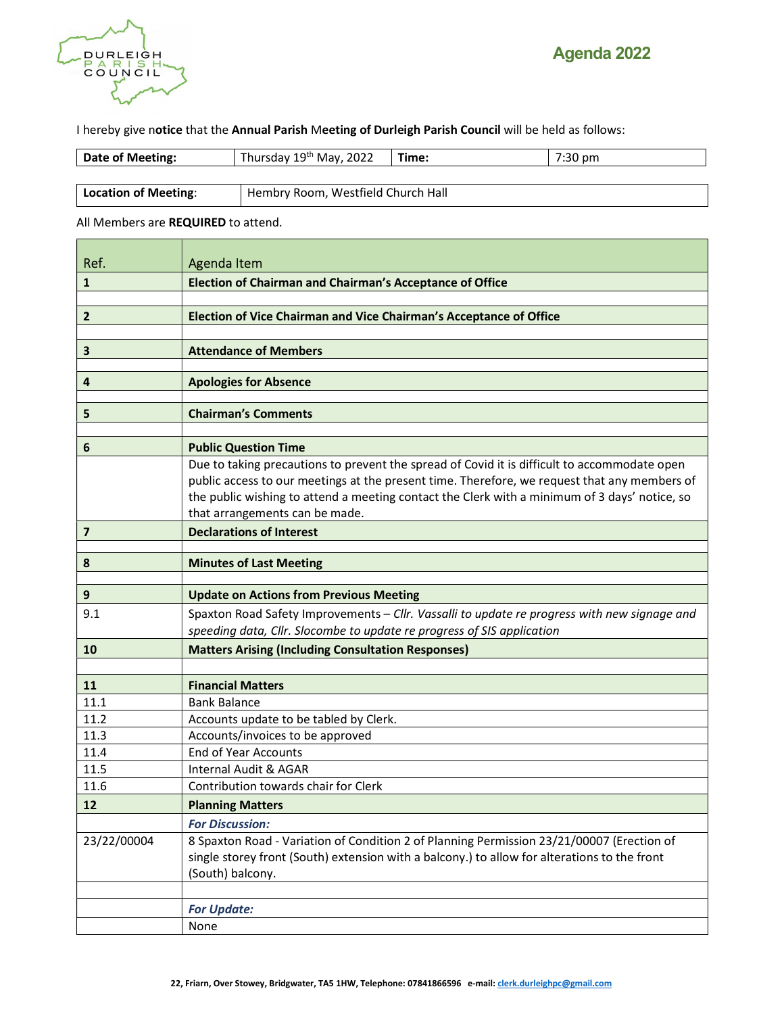

I hereby give notice that the Annual Parish Meeting of Durleigh Parish Council will be held as follows:

| Date of Meeting:            | Thursday 19th May, 2022            | Time: | $7:30$ pm |
|-----------------------------|------------------------------------|-------|-----------|
|                             |                                    |       |           |
| <b>Location of Meeting:</b> | Hembry Room, Westfield Church Hall |       |           |

All Members are REQUIRED to attend.

| Ref.                    | Agenda Item                                                                                                                                                                                                                                                                                                                     |  |  |
|-------------------------|---------------------------------------------------------------------------------------------------------------------------------------------------------------------------------------------------------------------------------------------------------------------------------------------------------------------------------|--|--|
| $\mathbf{1}$            | <b>Election of Chairman and Chairman's Acceptance of Office</b>                                                                                                                                                                                                                                                                 |  |  |
|                         |                                                                                                                                                                                                                                                                                                                                 |  |  |
| $\overline{2}$          | Election of Vice Chairman and Vice Chairman's Acceptance of Office                                                                                                                                                                                                                                                              |  |  |
|                         |                                                                                                                                                                                                                                                                                                                                 |  |  |
| 3                       | <b>Attendance of Members</b>                                                                                                                                                                                                                                                                                                    |  |  |
| 4                       | <b>Apologies for Absence</b>                                                                                                                                                                                                                                                                                                    |  |  |
| 5                       | <b>Chairman's Comments</b>                                                                                                                                                                                                                                                                                                      |  |  |
| 6                       | <b>Public Question Time</b>                                                                                                                                                                                                                                                                                                     |  |  |
|                         | Due to taking precautions to prevent the spread of Covid it is difficult to accommodate open<br>public access to our meetings at the present time. Therefore, we request that any members of<br>the public wishing to attend a meeting contact the Clerk with a minimum of 3 days' notice, so<br>that arrangements can be made. |  |  |
| $\overline{\mathbf{z}}$ | <b>Declarations of Interest</b>                                                                                                                                                                                                                                                                                                 |  |  |
| 8                       | <b>Minutes of Last Meeting</b>                                                                                                                                                                                                                                                                                                  |  |  |
|                         |                                                                                                                                                                                                                                                                                                                                 |  |  |
| 9                       | <b>Update on Actions from Previous Meeting</b>                                                                                                                                                                                                                                                                                  |  |  |
| 9.1                     | Spaxton Road Safety Improvements - Cllr. Vassalli to update re progress with new signage and<br>speeding data, Cllr. Slocombe to update re progress of SIS application                                                                                                                                                          |  |  |
| 10                      | <b>Matters Arising (Including Consultation Responses)</b>                                                                                                                                                                                                                                                                       |  |  |
|                         |                                                                                                                                                                                                                                                                                                                                 |  |  |
| 11                      | <b>Financial Matters</b>                                                                                                                                                                                                                                                                                                        |  |  |
| 11.1                    | <b>Bank Balance</b>                                                                                                                                                                                                                                                                                                             |  |  |
| 11.2<br>11.3            | Accounts update to be tabled by Clerk.                                                                                                                                                                                                                                                                                          |  |  |
| 11.4                    | Accounts/invoices to be approved<br><b>End of Year Accounts</b>                                                                                                                                                                                                                                                                 |  |  |
| 11.5                    | Internal Audit & AGAR                                                                                                                                                                                                                                                                                                           |  |  |
| 11.6                    | Contribution towards chair for Clerk                                                                                                                                                                                                                                                                                            |  |  |
| 12                      | <b>Planning Matters</b>                                                                                                                                                                                                                                                                                                         |  |  |
|                         | <b>For Discussion:</b>                                                                                                                                                                                                                                                                                                          |  |  |
| 23/22/00004             | 8 Spaxton Road - Variation of Condition 2 of Planning Permission 23/21/00007 (Erection of<br>single storey front (South) extension with a balcony.) to allow for alterations to the front<br>(South) balcony.                                                                                                                   |  |  |
|                         | <b>For Update:</b>                                                                                                                                                                                                                                                                                                              |  |  |
|                         | None                                                                                                                                                                                                                                                                                                                            |  |  |
|                         |                                                                                                                                                                                                                                                                                                                                 |  |  |